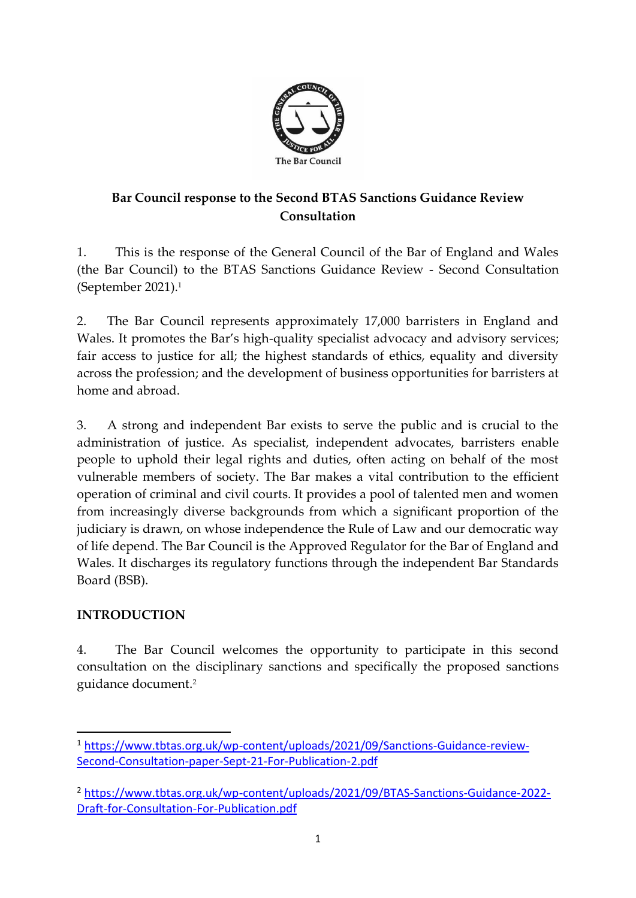

# **Bar Council response to the Second BTAS Sanctions Guidance Review Consultation**

1. This is the response of the General Council of the Bar of England and Wales (the Bar Council) to the BTAS Sanctions Guidance Review - Second Consultation (September 2021).<sup>1</sup>

2. The Bar Council represents approximately 17,000 barristers in England and Wales. It promotes the Bar's high-quality specialist advocacy and advisory services; fair access to justice for all; the highest standards of ethics, equality and diversity across the profession; and the development of business opportunities for barristers at home and abroad.

3. A strong and independent Bar exists to serve the public and is crucial to the administration of justice. As specialist, independent advocates, barristers enable people to uphold their legal rights and duties, often acting on behalf of the most vulnerable members of society. The Bar makes a vital contribution to the efficient operation of criminal and civil courts. It provides a pool of talented men and women from increasingly diverse backgrounds from which a significant proportion of the judiciary is drawn, on whose independence the Rule of Law and our democratic way of life depend. The Bar Council is the Approved Regulator for the Bar of England and Wales. It discharges its regulatory functions through the independent Bar Standards Board (BSB).

### **INTRODUCTION**

4. The Bar Council welcomes the opportunity to participate in this second consultation on the disciplinary sanctions and specifically the proposed sanctions guidance document. 2

<sup>1</sup> [https://www.tbtas.org.uk/wp-content/uploads/2021/09/Sanctions-Guidance-review-](https://www.tbtas.org.uk/wp-content/uploads/2021/09/Sanctions-Guidance-review-Second-Consultation-paper-Sept-21-For-Publication-2.pdf)[Second-Consultation-paper-Sept-21-For-Publication-2.pdf](https://www.tbtas.org.uk/wp-content/uploads/2021/09/Sanctions-Guidance-review-Second-Consultation-paper-Sept-21-For-Publication-2.pdf)

<sup>2</sup> [https://www.tbtas.org.uk/wp-content/uploads/2021/09/BTAS-Sanctions-Guidance-2022-](https://www.tbtas.org.uk/wp-content/uploads/2021/09/BTAS-Sanctions-Guidance-2022-Draft-for-Consultation-For-Publication.pdf) [Draft-for-Consultation-For-Publication.pdf](https://www.tbtas.org.uk/wp-content/uploads/2021/09/BTAS-Sanctions-Guidance-2022-Draft-for-Consultation-For-Publication.pdf)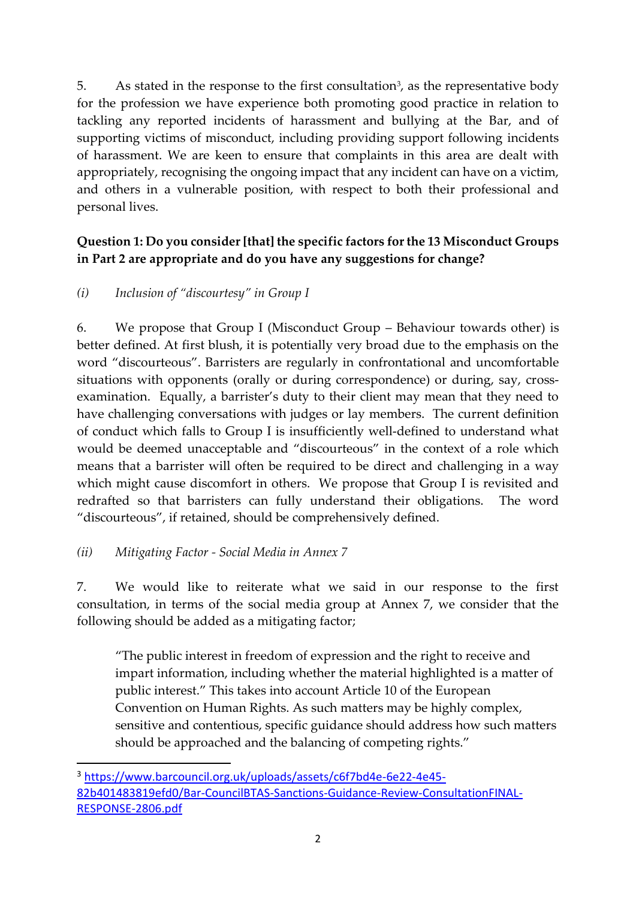5. As stated in the response to the first consultation<sup>3</sup>, as the representative body for the profession we have experience both promoting good practice in relation to tackling any reported incidents of harassment and bullying at the Bar, and of supporting victims of misconduct, including providing support following incidents of harassment. We are keen to ensure that complaints in this area are dealt with appropriately, recognising the ongoing impact that any incident can have on a victim, and others in a vulnerable position, with respect to both their professional and personal lives.

## **Question 1: Do you consider [that] the specific factors for the 13 Misconduct Groups in Part 2 are appropriate and do you have any suggestions for change?**

### *(i) Inclusion of "discourtesy" in Group I*

6. We propose that Group I (Misconduct Group – Behaviour towards other) is better defined. At first blush, it is potentially very broad due to the emphasis on the word "discourteous". Barristers are regularly in confrontational and uncomfortable situations with opponents (orally or during correspondence) or during, say, crossexamination. Equally, a barrister's duty to their client may mean that they need to have challenging conversations with judges or lay members. The current definition of conduct which falls to Group I is insufficiently well-defined to understand what would be deemed unacceptable and "discourteous" in the context of a role which means that a barrister will often be required to be direct and challenging in a way which might cause discomfort in others. We propose that Group I is revisited and redrafted so that barristers can fully understand their obligations. The word "discourteous", if retained, should be comprehensively defined.

### *(ii) Mitigating Factor - Social Media in Annex 7*

7. We would like to reiterate what we said in our response to the first consultation, in terms of the social media group at Annex 7, we consider that the following should be added as a mitigating factor;

"The public interest in freedom of expression and the right to receive and impart information, including whether the material highlighted is a matter of public interest." This takes into account Article 10 of the European Convention on Human Rights. As such matters may be highly complex, sensitive and contentious, specific guidance should address how such matters should be approached and the balancing of competing rights."

<sup>3</sup> [https://www.barcouncil.org.uk/uploads/assets/c6f7bd4e-6e22-4e45-](https://www.barcouncil.org.uk/uploads/assets/c6f7bd4e-6e22-4e45-82b401483819efd0/Bar-CouncilBTAS-Sanctions-Guidance-Review-ConsultationFINAL-RESPONSE-2806.pdf) [82b401483819efd0/Bar-CouncilBTAS-Sanctions-Guidance-Review-ConsultationFINAL-](https://www.barcouncil.org.uk/uploads/assets/c6f7bd4e-6e22-4e45-82b401483819efd0/Bar-CouncilBTAS-Sanctions-Guidance-Review-ConsultationFINAL-RESPONSE-2806.pdf)[RESPONSE-2806.pdf](https://www.barcouncil.org.uk/uploads/assets/c6f7bd4e-6e22-4e45-82b401483819efd0/Bar-CouncilBTAS-Sanctions-Guidance-Review-ConsultationFINAL-RESPONSE-2806.pdf)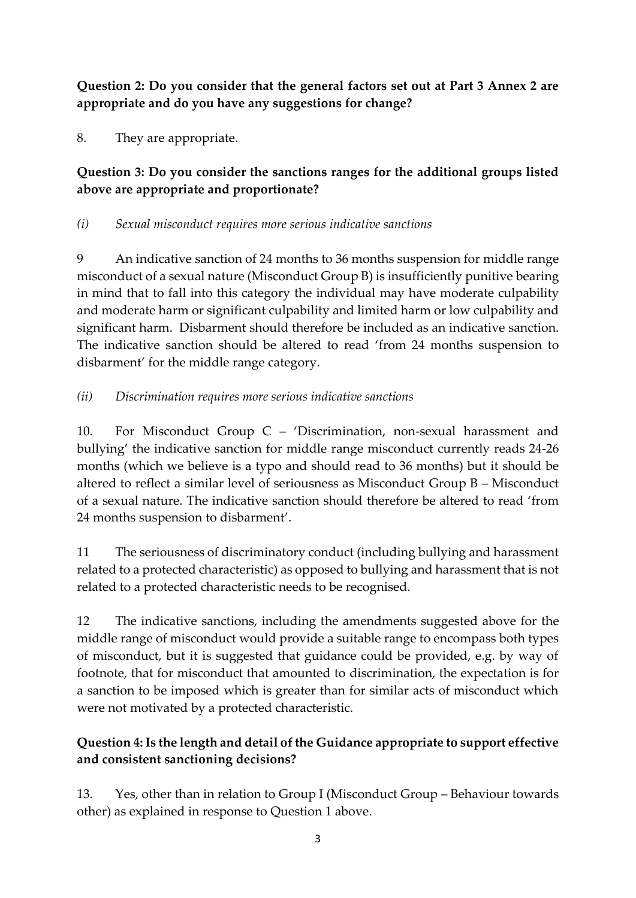**Question 2: Do you consider that the general factors set out at Part 3 Annex 2 are appropriate and do you have any suggestions for change?** 

8. They are appropriate.

### **Question 3: Do you consider the sanctions ranges for the additional groups listed above are appropriate and proportionate?**

#### *(i) Sexual misconduct requires more serious indicative sanctions*

9 An indicative sanction of 24 months to 36 months suspension for middle range misconduct of a sexual nature (Misconduct Group B) is insufficiently punitive bearing in mind that to fall into this category the individual may have moderate culpability and moderate harm or significant culpability and limited harm or low culpability and significant harm. Disbarment should therefore be included as an indicative sanction. The indicative sanction should be altered to read 'from 24 months suspension to disbarment' for the middle range category.

### *(ii) Discrimination requires more serious indicative sanctions*

10. For Misconduct Group C – 'Discrimination, non-sexual harassment and bullying' the indicative sanction for middle range misconduct currently reads 24-26 months (which we believe is a typo and should read to 36 months) but it should be altered to reflect a similar level of seriousness as Misconduct Group B – Misconduct of a sexual nature. The indicative sanction should therefore be altered to read 'from 24 months suspension to disbarment'.

11 The seriousness of discriminatory conduct (including bullying and harassment related to a protected characteristic) as opposed to bullying and harassment that is not related to a protected characteristic needs to be recognised.

12 The indicative sanctions, including the amendments suggested above for the middle range of misconduct would provide a suitable range to encompass both types of misconduct, but it is suggested that guidance could be provided, e.g. by way of footnote, that for misconduct that amounted to discrimination, the expectation is for a sanction to be imposed which is greater than for similar acts of misconduct which were not motivated by a protected characteristic.

### **Question 4: Is the length and detail of the Guidance appropriate to support effective and consistent sanctioning decisions?**

13. Yes, other than in relation to Group I (Misconduct Group – Behaviour towards other) as explained in response to Question 1 above.